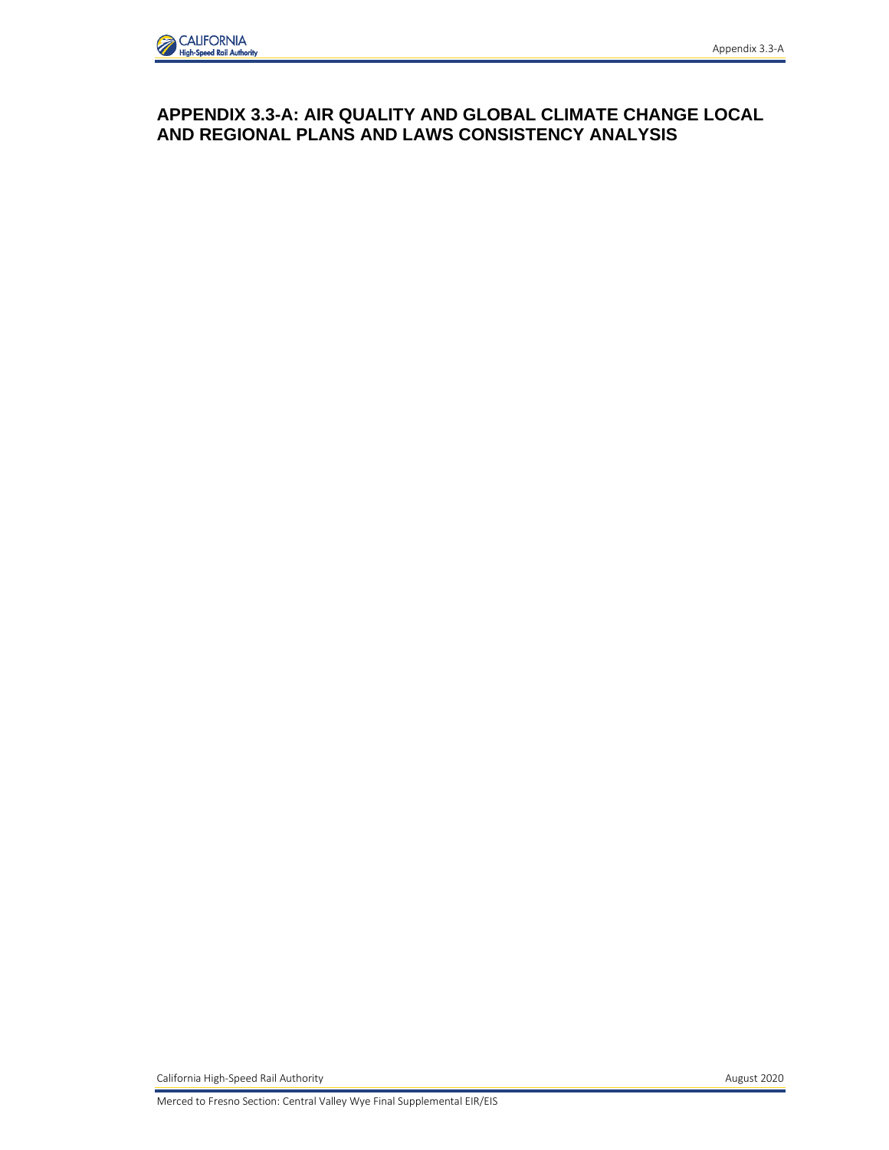## **APPENDIX 3.3-A: AIR QUALITY AND GLOBAL CLIMATE CHANGE LOCAL AND REGIONAL PLANS AND LAWS CONSISTENCY ANALYSIS**

California High-Speed Rail Authority **August 2020** 

Merced to Fresno Section: Central Valley Wye Final Supplemental EIR/EIS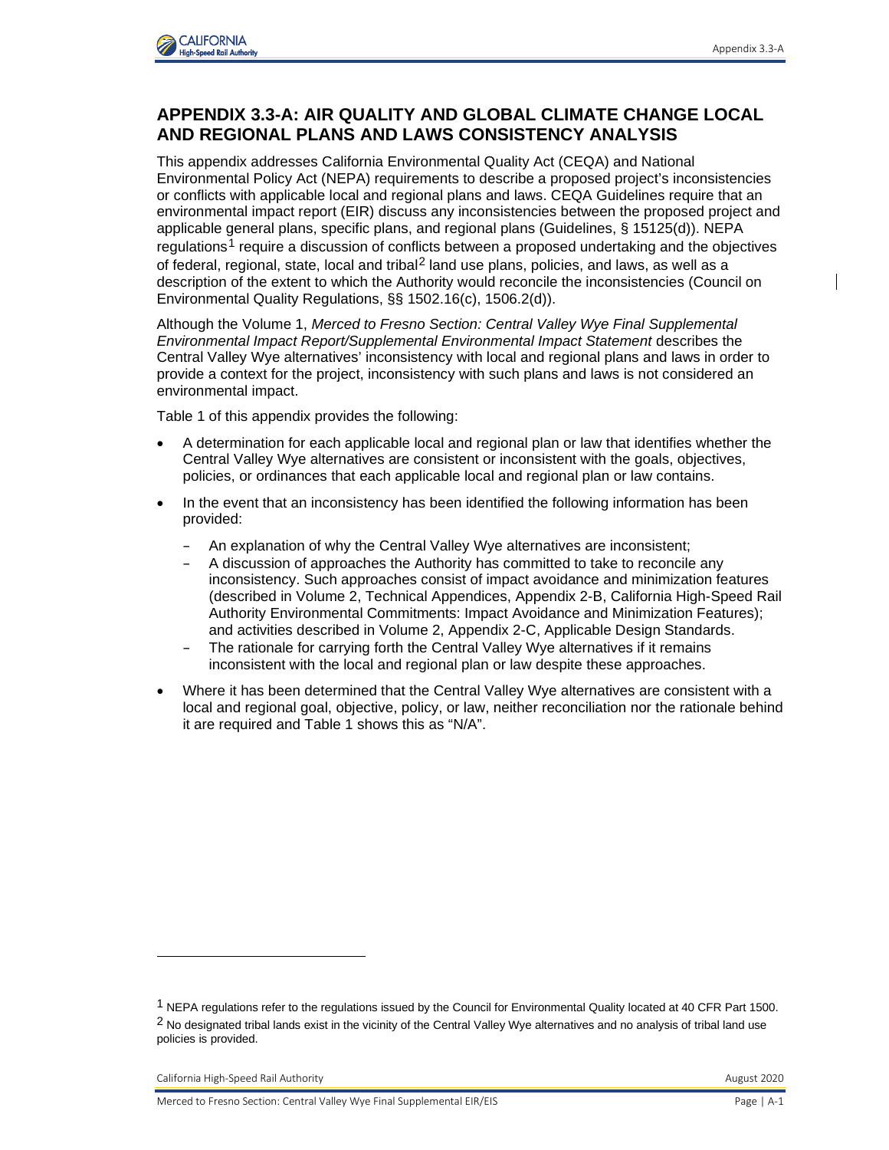

## **APPENDIX 3.3-A: AIR QUALITY AND GLOBAL CLIMATE CHANGE LOCAL AND REGIONAL PLANS AND LAWS CONSISTENCY ANALYSIS**

This appendix addresses California Environmental Quality Act (CEQA) and National Environmental Policy Act (NEPA) requirements to describe a proposed project's inconsistencies or conflicts with applicable local and regional plans and laws. CEQA Guidelines require that an environmental impact report (EIR) discuss any inconsistencies between the proposed project and applicable general plans, specific plans, and regional plans (Guidelines, § 15125(d)). NEPA regulations<sup>[1](#page-1-0)</sup> require a discussion of conflicts between a proposed undertaking and the objectives of federal, regional, state, local and tribal<sup>[2](#page-1-1)</sup> land use plans, policies, and laws, as well as a description of the extent to which the Authority would reconcile the inconsistencies (Council on Environmental Quality Regulations, §§ 1502.16(c), 1506.2(d)).

Although the Volume 1, *Merced to Fresno Section: Central Valley Wye Final Supplemental Environmental Impact Report/Supplemental Environmental Impact Statement* describes the Central Valley Wye alternatives' inconsistency with local and regional plans and laws in order to provide a context for the project, inconsistency with such plans and laws is not considered an environmental impact.

Table 1 of this appendix provides the following:

- A determination for each applicable local and regional plan or law that identifies whether the Central Valley Wye alternatives are consistent or inconsistent with the goals, objectives, policies, or ordinances that each applicable local and regional plan or law contains.
- In the event that an inconsistency has been identified the following information has been provided:
	- An explanation of why the Central Valley Wye alternatives are inconsistent;
	- A discussion of approaches the Authority has committed to take to reconcile any inconsistency. Such approaches consist of impact avoidance and minimization features (described in Volume 2, Technical Appendices, Appendix 2-B, California High-Speed Rail Authority Environmental Commitments: Impact Avoidance and Minimization Features); and activities described in Volume 2, Appendix 2-C, Applicable Design Standards.
	- The rationale for carrying forth the Central Valley Wye alternatives if it remains inconsistent with the local and regional plan or law despite these approaches.
- Where it has been determined that the Central Valley Wye alternatives are consistent with a local and regional goal, objective, policy, or law, neither reconciliation nor the rationale behind it are required and Table 1 shows this as "N/A".

<span id="page-1-1"></span><span id="page-1-0"></span><sup>1</sup> NEPA regulations refer to the regulations issued by the Council for Environmental Quality located at 40 CFR Part 1500.  $2$  No designated tribal lands exist in the vicinity of the Central Valley Wye alternatives and no analysis of tribal land use policies is provided.

California High-Speed Rail Authority **August 2020** California High-Speed Rail Authority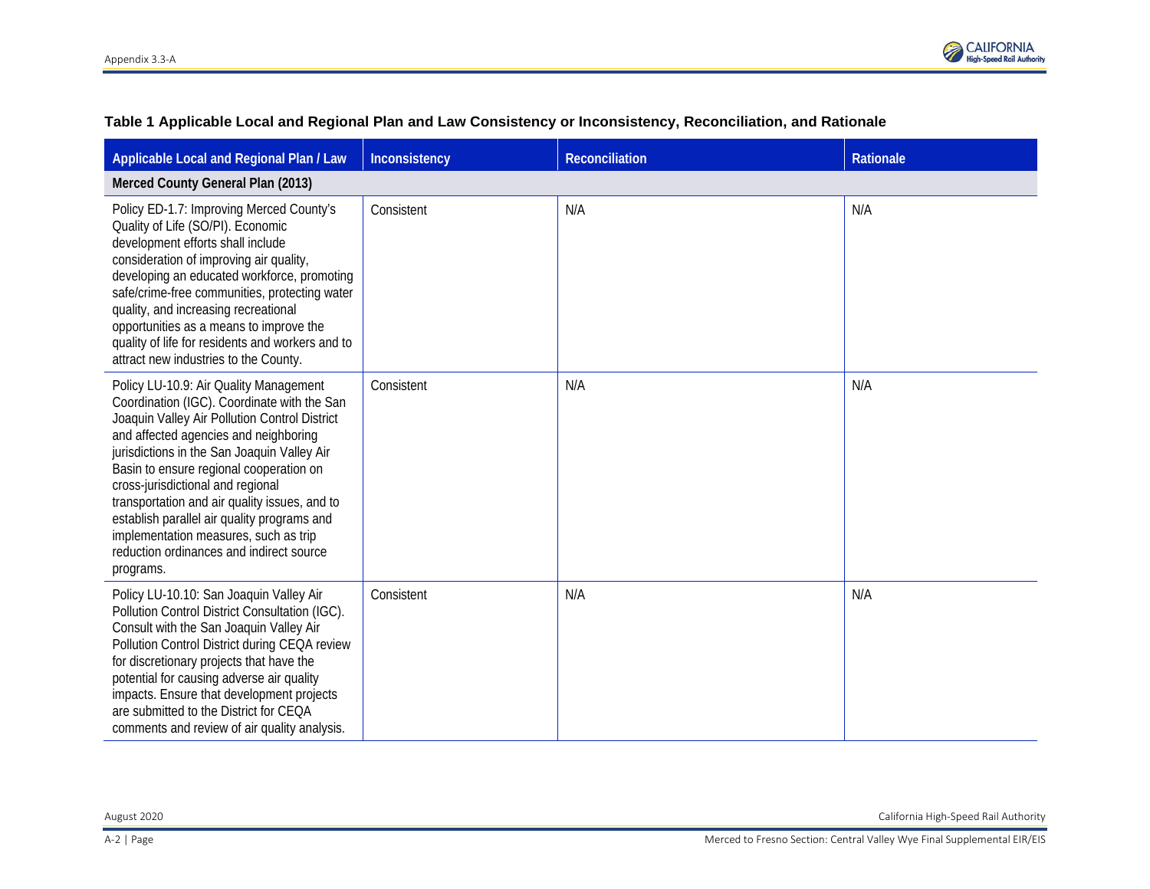

| Applicable Local and Regional Plan / Law                                                                                                                                                                                                                                                                                                                                                                                                                                                                         | Inconsistency | Reconciliation | Rationale |  |
|------------------------------------------------------------------------------------------------------------------------------------------------------------------------------------------------------------------------------------------------------------------------------------------------------------------------------------------------------------------------------------------------------------------------------------------------------------------------------------------------------------------|---------------|----------------|-----------|--|
| Merced County General Plan (2013)                                                                                                                                                                                                                                                                                                                                                                                                                                                                                |               |                |           |  |
| Policy ED-1.7: Improving Merced County's<br>Quality of Life (SO/PI). Economic<br>development efforts shall include<br>consideration of improving air quality,<br>developing an educated workforce, promoting<br>safe/crime-free communities, protecting water<br>quality, and increasing recreational<br>opportunities as a means to improve the<br>quality of life for residents and workers and to<br>attract new industries to the County.                                                                    | Consistent    | N/A            | N/A       |  |
| Policy LU-10.9: Air Quality Management<br>Coordination (IGC). Coordinate with the San<br>Joaquin Valley Air Pollution Control District<br>and affected agencies and neighboring<br>jurisdictions in the San Joaquin Valley Air<br>Basin to ensure regional cooperation on<br>cross-jurisdictional and regional<br>transportation and air quality issues, and to<br>establish parallel air quality programs and<br>implementation measures, such as trip<br>reduction ordinances and indirect source<br>programs. | Consistent    | N/A            | N/A       |  |
| Policy LU-10.10: San Joaquin Valley Air<br>Pollution Control District Consultation (IGC).<br>Consult with the San Joaquin Valley Air<br>Pollution Control District during CEQA review<br>for discretionary projects that have the<br>potential for causing adverse air quality<br>impacts. Ensure that development projects<br>are submitted to the District for CEQA<br>comments and review of air quality analysis.                                                                                            | Consistent    | N/A            | N/A       |  |

## **Table 1 Applicable Local and Regional Plan and Law Consistency or Inconsistency, Reconciliation, and Rationale**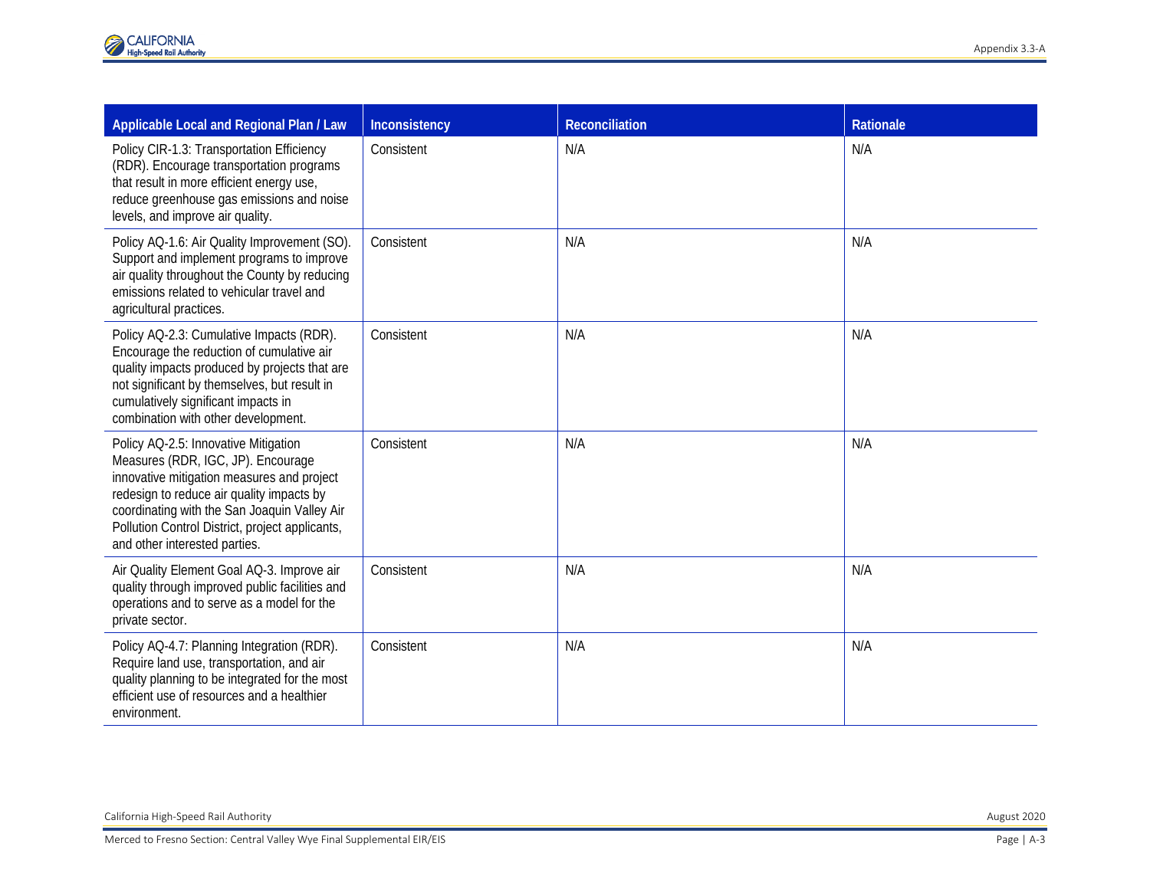| Applicable Local and Regional Plan / Law                                                                                                                                                                                                                                                                  | Inconsistency | <b>Reconciliation</b> | Rationale   |
|-----------------------------------------------------------------------------------------------------------------------------------------------------------------------------------------------------------------------------------------------------------------------------------------------------------|---------------|-----------------------|-------------|
| Policy CIR-1.3: Transportation Efficiency<br>(RDR). Encourage transportation programs<br>that result in more efficient energy use,<br>reduce greenhouse gas emissions and noise<br>levels, and improve air quality.                                                                                       | Consistent    | N/A                   | N/A         |
| Policy AQ-1.6: Air Quality Improvement (SO).<br>Support and implement programs to improve<br>air quality throughout the County by reducing<br>emissions related to vehicular travel and<br>agricultural practices.                                                                                        | Consistent    | N/A                   | N/A         |
| Policy AQ-2.3: Cumulative Impacts (RDR).<br>Encourage the reduction of cumulative air<br>quality impacts produced by projects that are<br>not significant by themselves, but result in<br>cumulatively significant impacts in<br>combination with other development.                                      | Consistent    | N/A                   | N/A         |
| Policy AQ-2.5: Innovative Mitigation<br>Measures (RDR, IGC, JP). Encourage<br>innovative mitigation measures and project<br>redesign to reduce air quality impacts by<br>coordinating with the San Joaquin Valley Air<br>Pollution Control District, project applicants,<br>and other interested parties. | Consistent    | N/A                   | N/A         |
| Air Quality Element Goal AQ-3. Improve air<br>quality through improved public facilities and<br>operations and to serve as a model for the<br>private sector.                                                                                                                                             | Consistent    | N/A                   | N/A         |
| Policy AQ-4.7: Planning Integration (RDR).<br>Require land use, transportation, and air<br>quality planning to be integrated for the most<br>efficient use of resources and a healthier<br>environment.                                                                                                   | Consistent    | N/A                   | N/A         |
|                                                                                                                                                                                                                                                                                                           |               |                       |             |
|                                                                                                                                                                                                                                                                                                           |               |                       |             |
| California High-Speed Rail Authority                                                                                                                                                                                                                                                                      |               |                       | August 2020 |
| Merced to Fresno Section: Central Valley Wye Final Supplemental EIR/EIS<br>Page   A-3                                                                                                                                                                                                                     |               |                       |             |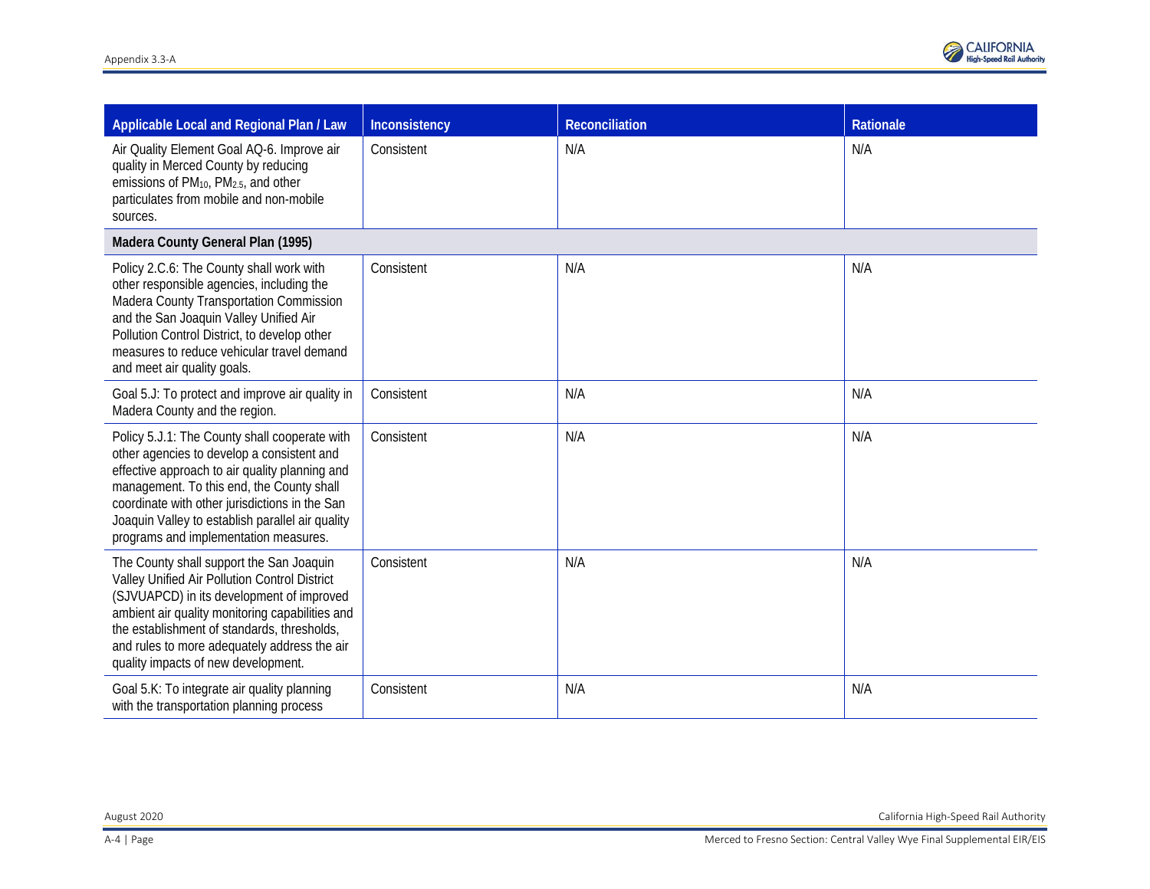| Applicable Local and Regional Plan / Law                                                                                                                                                                                                                                                                                                  | Inconsistency | <b>Reconciliation</b> | Rationale |
|-------------------------------------------------------------------------------------------------------------------------------------------------------------------------------------------------------------------------------------------------------------------------------------------------------------------------------------------|---------------|-----------------------|-----------|
| Air Quality Element Goal AQ-6. Improve air<br>quality in Merced County by reducing<br>emissions of PM <sub>10</sub> , PM <sub>2.5</sub> , and other<br>particulates from mobile and non-mobile<br>sources.                                                                                                                                | Consistent    | N/A                   | N/A       |
| Madera County General Plan (1995)                                                                                                                                                                                                                                                                                                         |               |                       |           |
| Policy 2.C.6: The County shall work with<br>other responsible agencies, including the<br>Madera County Transportation Commission<br>and the San Joaquin Valley Unified Air<br>Pollution Control District, to develop other<br>measures to reduce vehicular travel demand<br>and meet air quality goals.                                   | Consistent    | N/A                   | N/A       |
| Goal 5.J: To protect and improve air quality in<br>Madera County and the region.                                                                                                                                                                                                                                                          | Consistent    | N/A                   | N/A       |
| Policy 5.J.1: The County shall cooperate with<br>other agencies to develop a consistent and<br>effective approach to air quality planning and<br>management. To this end, the County shall<br>coordinate with other jurisdictions in the San<br>Joaquin Valley to establish parallel air quality<br>programs and implementation measures. | Consistent    | N/A                   | N/A       |
| The County shall support the San Joaquin<br>Valley Unified Air Pollution Control District<br>(SJVUAPCD) in its development of improved<br>ambient air quality monitoring capabilities and<br>the establishment of standards, thresholds,<br>and rules to more adequately address the air<br>quality impacts of new development.           | Consistent    | N/A                   | N/A       |
| Goal 5.K: To integrate air quality planning<br>with the transportation planning process                                                                                                                                                                                                                                                   | Consistent    | N/A                   | N/A       |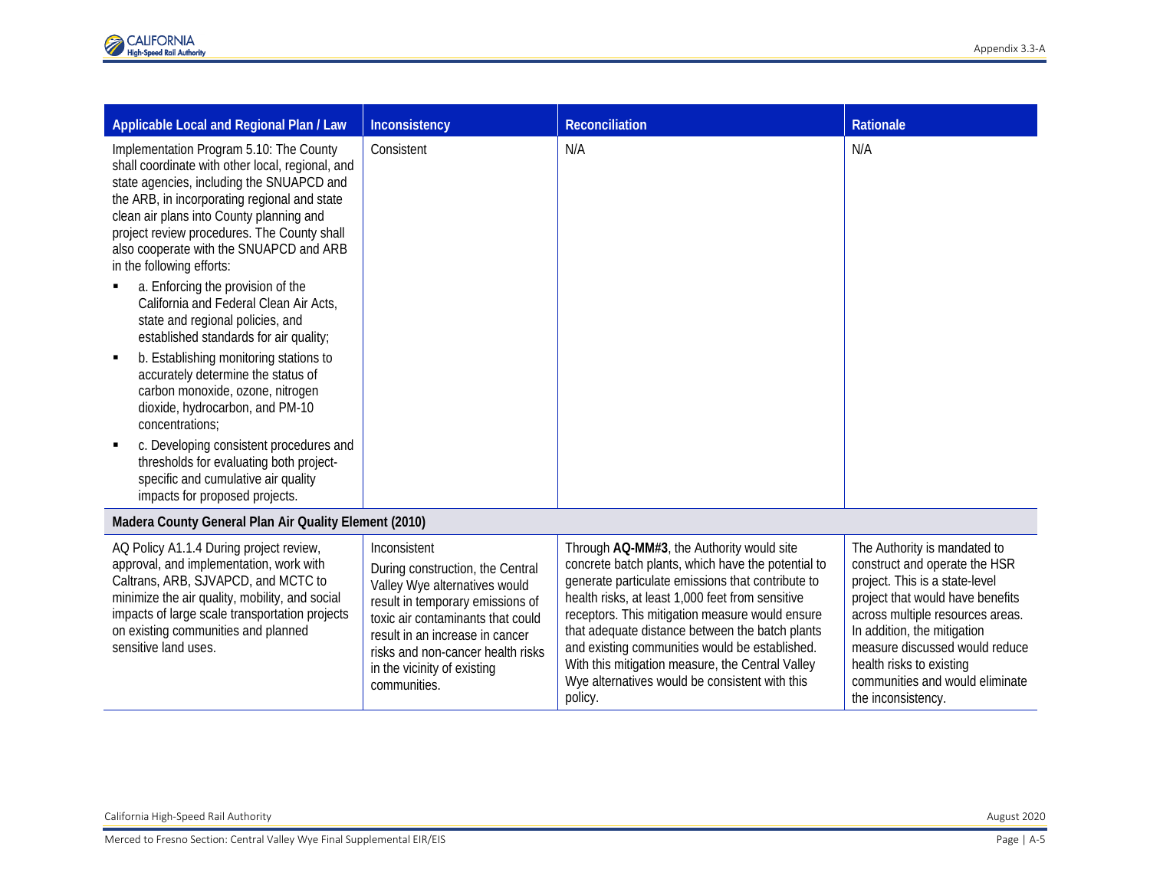| Applicable Local and Regional Plan / Law                                                                                                                                                                                                                                                                                                                                                                                                                                                                                                                                                                                                                                                                                                                                                                                                                               | Inconsistency                                                                                                                                                                                                                                                                     | <b>Reconciliation</b>                                                                                                                                                                                                                                                                                                                                                                                                                                                             | Rationale                                                                                                                                                                                                                                                                                                                     |
|------------------------------------------------------------------------------------------------------------------------------------------------------------------------------------------------------------------------------------------------------------------------------------------------------------------------------------------------------------------------------------------------------------------------------------------------------------------------------------------------------------------------------------------------------------------------------------------------------------------------------------------------------------------------------------------------------------------------------------------------------------------------------------------------------------------------------------------------------------------------|-----------------------------------------------------------------------------------------------------------------------------------------------------------------------------------------------------------------------------------------------------------------------------------|-----------------------------------------------------------------------------------------------------------------------------------------------------------------------------------------------------------------------------------------------------------------------------------------------------------------------------------------------------------------------------------------------------------------------------------------------------------------------------------|-------------------------------------------------------------------------------------------------------------------------------------------------------------------------------------------------------------------------------------------------------------------------------------------------------------------------------|
| Implementation Program 5.10: The County<br>shall coordinate with other local, regional, and<br>state agencies, including the SNUAPCD and<br>the ARB, in incorporating regional and state<br>clean air plans into County planning and<br>project review procedures. The County shall<br>also cooperate with the SNUAPCD and ARB<br>in the following efforts:<br>a. Enforcing the provision of the<br>California and Federal Clean Air Acts,<br>state and regional policies, and<br>established standards for air quality;<br>b. Establishing monitoring stations to<br>٠<br>accurately determine the status of<br>carbon monoxide, ozone, nitrogen<br>dioxide, hydrocarbon, and PM-10<br>concentrations;<br>c. Developing consistent procedures and<br>thresholds for evaluating both project-<br>specific and cumulative air quality<br>impacts for proposed projects. | Consistent                                                                                                                                                                                                                                                                        | N/A                                                                                                                                                                                                                                                                                                                                                                                                                                                                               | N/A                                                                                                                                                                                                                                                                                                                           |
| Madera County General Plan Air Quality Element (2010)                                                                                                                                                                                                                                                                                                                                                                                                                                                                                                                                                                                                                                                                                                                                                                                                                  |                                                                                                                                                                                                                                                                                   |                                                                                                                                                                                                                                                                                                                                                                                                                                                                                   |                                                                                                                                                                                                                                                                                                                               |
| AQ Policy A1.1.4 During project review,<br>approval, and implementation, work with<br>Caltrans, ARB, SJVAPCD, and MCTC to<br>minimize the air quality, mobility, and social<br>impacts of large scale transportation projects<br>on existing communities and planned<br>sensitive land uses.                                                                                                                                                                                                                                                                                                                                                                                                                                                                                                                                                                           | Inconsistent<br>During construction, the Central<br>Valley Wye alternatives would<br>result in temporary emissions of<br>toxic air contaminants that could<br>result in an increase in cancer<br>risks and non-cancer health risks<br>in the vicinity of existing<br>communities. | Through AQ-MM#3, the Authority would site<br>concrete batch plants, which have the potential to<br>generate particulate emissions that contribute to<br>health risks, at least 1,000 feet from sensitive<br>receptors. This mitigation measure would ensure<br>that adequate distance between the batch plants<br>and existing communities would be established.<br>With this mitigation measure, the Central Valley<br>Wye alternatives would be consistent with this<br>policy. | The Authority is mandated to<br>construct and operate the HSR<br>project. This is a state-level<br>project that would have benefits<br>across multiple resources areas.<br>In addition, the mitigation<br>measure discussed would reduce<br>health risks to existing<br>communities and would eliminate<br>the inconsistency. |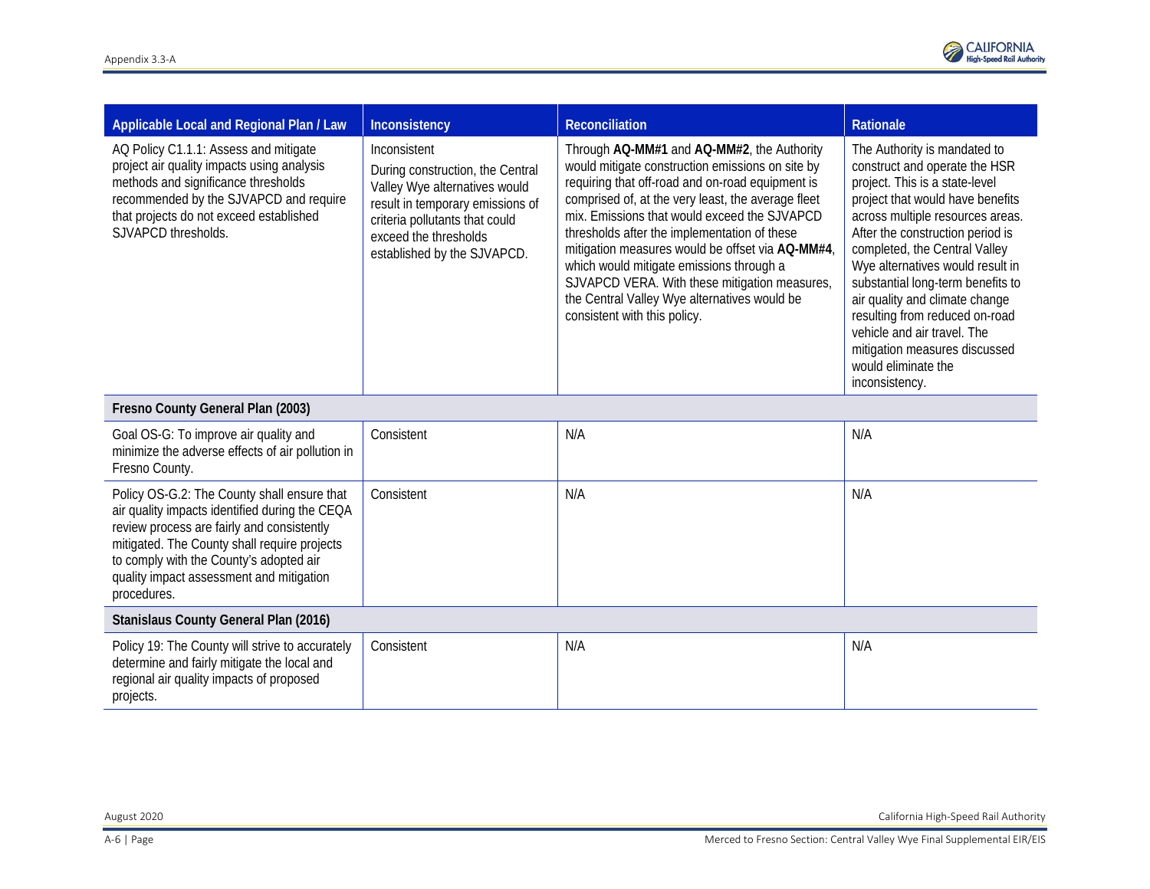

| Applicable Local and Regional Plan / Law                                                                                                                                                                                               | Inconsistency                                                                                                                                                                                                   | <b>Reconciliation</b>                                                                                                                                                                                                                                                                                                                                                                                                                                                                                                                     | Rationale                                                                                                                                                                                                                                                                                                                                                                                                                                                                                          |
|----------------------------------------------------------------------------------------------------------------------------------------------------------------------------------------------------------------------------------------|-----------------------------------------------------------------------------------------------------------------------------------------------------------------------------------------------------------------|-------------------------------------------------------------------------------------------------------------------------------------------------------------------------------------------------------------------------------------------------------------------------------------------------------------------------------------------------------------------------------------------------------------------------------------------------------------------------------------------------------------------------------------------|----------------------------------------------------------------------------------------------------------------------------------------------------------------------------------------------------------------------------------------------------------------------------------------------------------------------------------------------------------------------------------------------------------------------------------------------------------------------------------------------------|
| AQ Policy C1.1.1: Assess and mitigate<br>project air quality impacts using analysis<br>methods and significance thresholds<br>recommended by the SJVAPCD and require<br>that projects do not exceed established<br>SJVAPCD thresholds. | Inconsistent<br>During construction, the Central<br>Valley Wye alternatives would<br>result in temporary emissions of<br>criteria pollutants that could<br>exceed the thresholds<br>established by the SJVAPCD. | Through AQ-MM#1 and AQ-MM#2, the Authority<br>would mitigate construction emissions on site by<br>requiring that off-road and on-road equipment is<br>comprised of, at the very least, the average fleet<br>mix. Emissions that would exceed the SJVAPCD<br>thresholds after the implementation of these<br>mitigation measures would be offset via AQ-MM#4,<br>which would mitigate emissions through a<br>SJVAPCD VERA. With these mitigation measures,<br>the Central Valley Wye alternatives would be<br>consistent with this policy. | The Authority is mandated to<br>construct and operate the HSR<br>project. This is a state-level<br>project that would have benefits<br>across multiple resources areas.<br>After the construction period is<br>completed, the Central Valley<br>Wye alternatives would result in<br>substantial long-term benefits to<br>air quality and climate change<br>resulting from reduced on-road<br>vehicle and air travel. The<br>mitigation measures discussed<br>would eliminate the<br>inconsistency. |
| Fresno County General Plan (2003)                                                                                                                                                                                                      |                                                                                                                                                                                                                 |                                                                                                                                                                                                                                                                                                                                                                                                                                                                                                                                           |                                                                                                                                                                                                                                                                                                                                                                                                                                                                                                    |
| Goal OS-G: To improve air quality and<br>المزار مرجانا والرابع مراجاته والمستول والمتحدث والمستحدث والمستحدث والمتحدث والمتحدث                                                                                                         | Consistent                                                                                                                                                                                                      | N/A                                                                                                                                                                                                                                                                                                                                                                                                                                                                                                                                       | N/A                                                                                                                                                                                                                                                                                                                                                                                                                                                                                                |

| Goal OS-G: To improve air quality and<br>minimize the adverse effects of air pollution in<br>Fresno County.                                                                                                                                                                                       | Consistent | N/A | N/A |  |
|---------------------------------------------------------------------------------------------------------------------------------------------------------------------------------------------------------------------------------------------------------------------------------------------------|------------|-----|-----|--|
| Policy OS-G.2: The County shall ensure that<br>air quality impacts identified during the CEQA<br>review process are fairly and consistently<br>mitigated. The County shall require projects<br>to comply with the County's adopted air<br>quality impact assessment and mitigation<br>procedures. | Consistent | N/A | N/A |  |
| <b>Stanislaus County General Plan (2016)</b>                                                                                                                                                                                                                                                      |            |     |     |  |
| Policy 19: The County will strive to accurately<br>determine and fairly mitigate the local and<br>regional air quality impacts of proposed<br>projects.                                                                                                                                           | Consistent | N/A | N/A |  |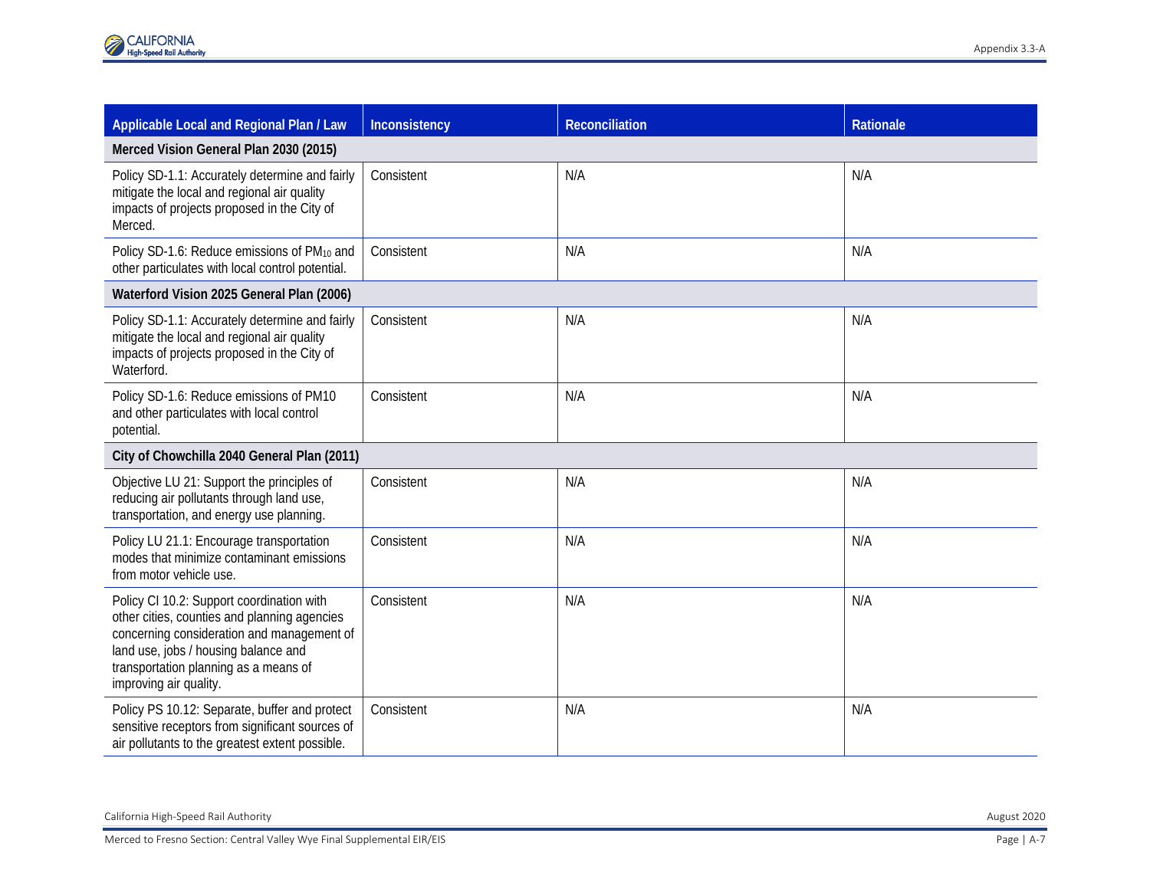| Applicable Local and Regional Plan / Law                                                                                                                                                                                                           | Inconsistency | <b>Reconciliation</b> | Rationale |
|----------------------------------------------------------------------------------------------------------------------------------------------------------------------------------------------------------------------------------------------------|---------------|-----------------------|-----------|
| Merced Vision General Plan 2030 (2015)                                                                                                                                                                                                             |               |                       |           |
| Policy SD-1.1: Accurately determine and fairly<br>mitigate the local and regional air quality<br>impacts of projects proposed in the City of<br>Merced.                                                                                            | Consistent    | N/A                   | N/A       |
| Policy SD-1.6: Reduce emissions of PM10 and<br>other particulates with local control potential.                                                                                                                                                    | Consistent    | N/A                   | N/A       |
| Waterford Vision 2025 General Plan (2006)                                                                                                                                                                                                          |               |                       |           |
| Policy SD-1.1: Accurately determine and fairly<br>mitigate the local and regional air quality<br>impacts of projects proposed in the City of<br>Waterford.                                                                                         | Consistent    | N/A                   | N/A       |
| Policy SD-1.6: Reduce emissions of PM10<br>and other particulates with local control<br>potential.                                                                                                                                                 | Consistent    | N/A                   | N/A       |
| City of Chowchilla 2040 General Plan (2011)                                                                                                                                                                                                        |               |                       |           |
| Objective LU 21: Support the principles of<br>reducing air pollutants through land use,<br>transportation, and energy use planning.                                                                                                                | Consistent    | N/A                   | N/A       |
| Policy LU 21.1: Encourage transportation<br>modes that minimize contaminant emissions<br>from motor vehicle use.                                                                                                                                   | Consistent    | N/A                   | N/A       |
| Policy CI 10.2: Support coordination with<br>other cities, counties and planning agencies<br>concerning consideration and management of<br>land use, jobs / housing balance and<br>transportation planning as a means of<br>improving air quality. | Consistent    | N/A                   | N/A       |
| Policy PS 10.12: Separate, buffer and protect<br>sensitive receptors from significant sources of<br>air pollutants to the greatest extent possible.                                                                                                | Consistent    | N/A                   | N/A       |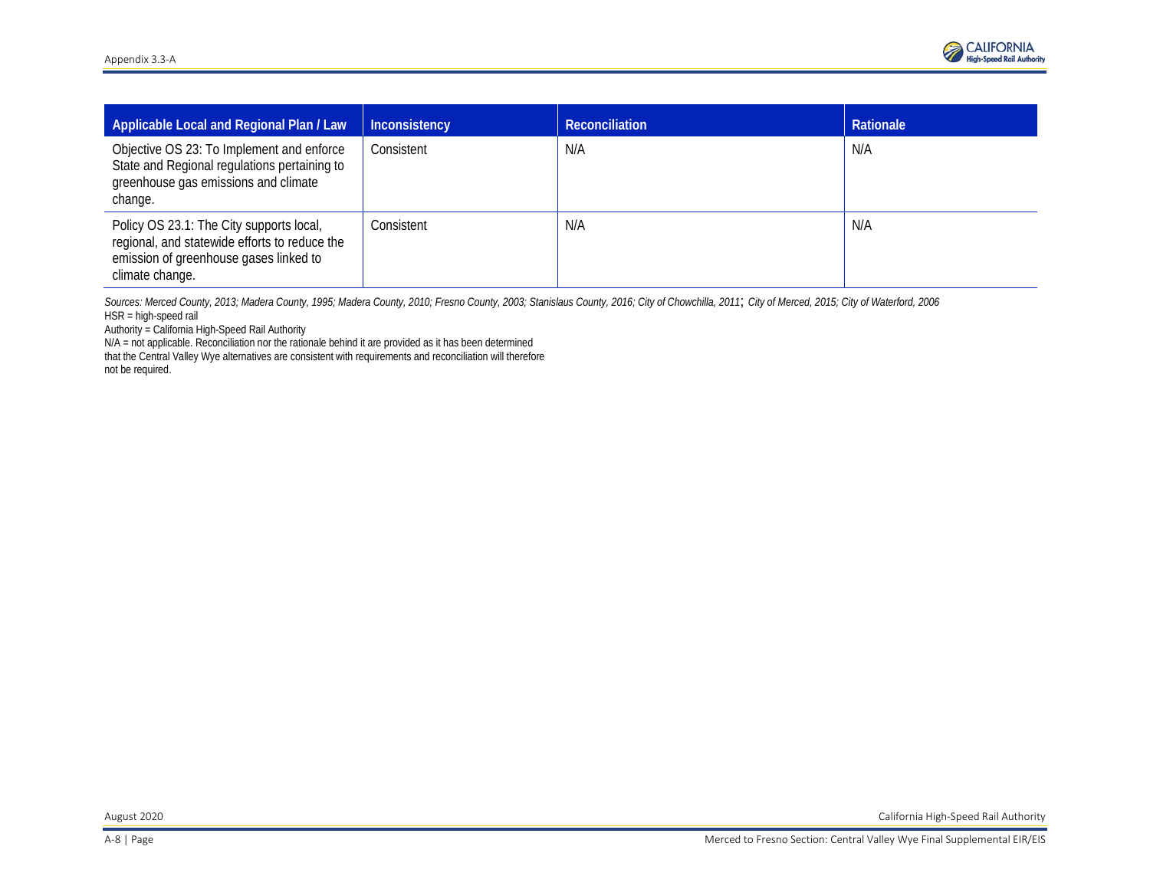

| Applicable Local and Regional Plan / Law                                                                                                               | Inconsistency | <b>Reconciliation</b> | Rationale |
|--------------------------------------------------------------------------------------------------------------------------------------------------------|---------------|-----------------------|-----------|
| Objective OS 23: To Implement and enforce<br>State and Regional regulations pertaining to<br>greenhouse gas emissions and climate<br>change.           | Consistent    | N/A                   | N/A       |
| Policy OS 23.1: The City supports local,<br>regional, and statewide efforts to reduce the<br>emission of greenhouse gases linked to<br>climate change. | Consistent    | N/A                   | N/A       |

*Sources: Merced County, 2013; Madera County, 1995; Madera County, 2010; Fresno County, 2003; Stanislaus County, 2016; City of Chowchilla, 2011*; *City of Merced, 2015; City of Waterford, 2006* HSR = high-speed rail

Authority = California High-Speed Rail Authority

N/A = not applicable. Reconciliation nor the rationale behind it are provided as it has been determined that the Central Valley Wye alternatives are consistent with requirements and reconciliation will therefore not be required.